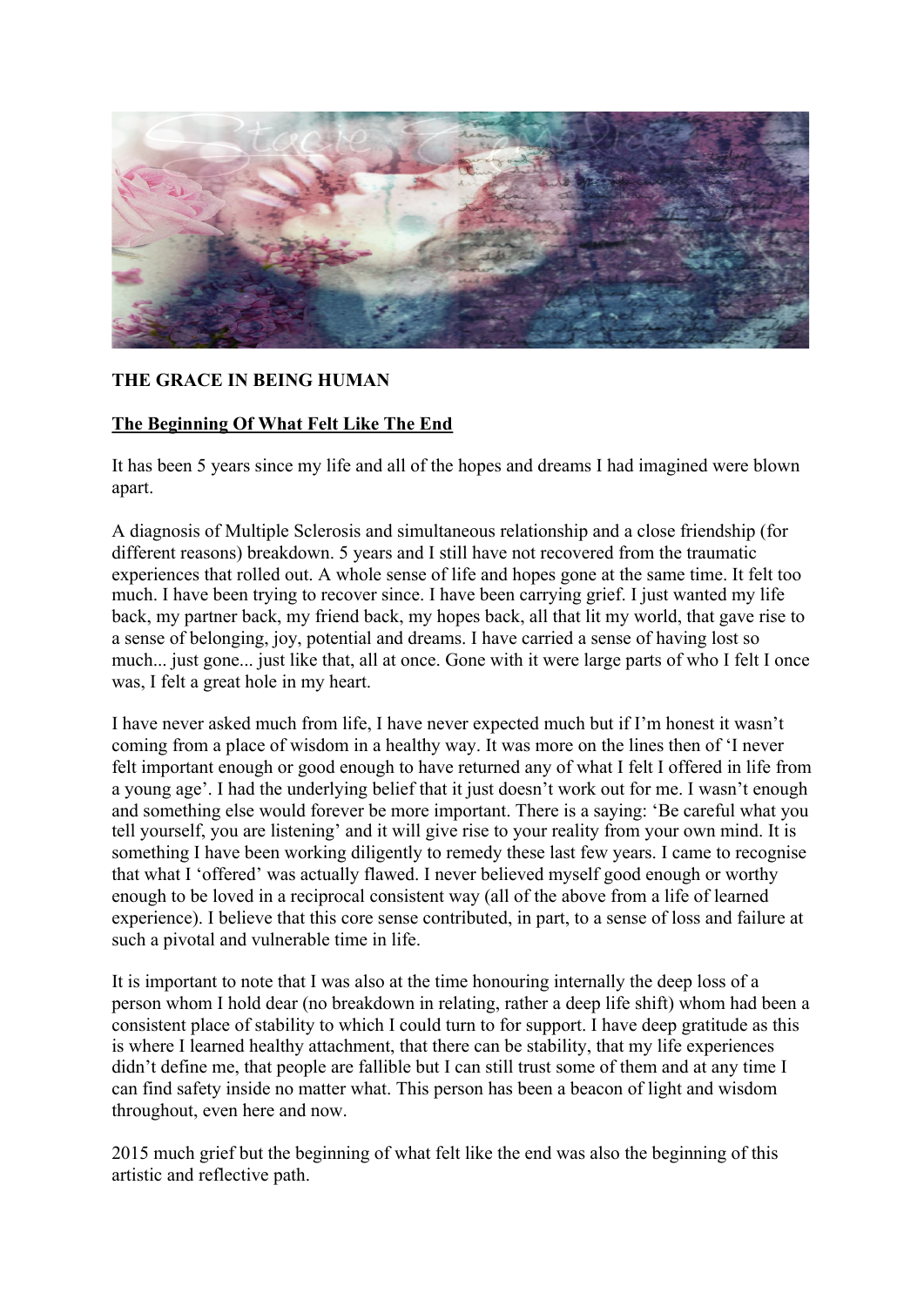

## **THE GRACE IN BEING HUMAN**

## **The Beginning Of What Felt Like The End**

It has been 5 years since my life and all of the hopes and dreams I had imagined were blown apart.

A diagnosis of Multiple Sclerosis and simultaneous relationship and a close friendship (for different reasons) breakdown. 5 years and I still have not recovered from the traumatic experiences that rolled out. A whole sense of life and hopes gone at the same time. It felt too much. I have been trying to recover since. I have been carrying grief. I just wanted my life back, my partner back, my friend back, my hopes back, all that lit my world, that gave rise to a sense of belonging, joy, potential and dreams. I have carried a sense of having lost so much... just gone... just like that, all at once. Gone with it were large parts of who I felt I once was, I felt a great hole in my heart.

I have never asked much from life, I have never expected much but if I'm honest it wasn't coming from a place of wisdom in a healthy way. It was more on the lines then of 'I never felt important enough or good enough to have returned any of what I felt I offered in life from a young age'. I had the underlying belief that it just doesn't work out for me. I wasn't enough and something else would forever be more important. There is a saying: 'Be careful what you tell yourself, you are listening' and it will give rise to your reality from your own mind. It is something I have been working diligently to remedy these last few years. I came to recognise that what I 'offered' was actually flawed. I never believed myself good enough or worthy enough to be loved in a reciprocal consistent way (all of the above from a life of learned experience). I believe that this core sense contributed, in part, to a sense of loss and failure at such a pivotal and vulnerable time in life.

It is important to note that I was also at the time honouring internally the deep loss of a person whom I hold dear (no breakdown in relating, rather a deep life shift) whom had been a consistent place of stability to which I could turn to for support. I have deep gratitude as this is where I learned healthy attachment, that there can be stability, that my life experiences didn't define me, that people are fallible but I can still trust some of them and at any time I can find safety inside no matter what. This person has been a beacon of light and wisdom throughout, even here and now.

2015 much grief but the beginning of what felt like the end was also the beginning of this artistic and reflective path.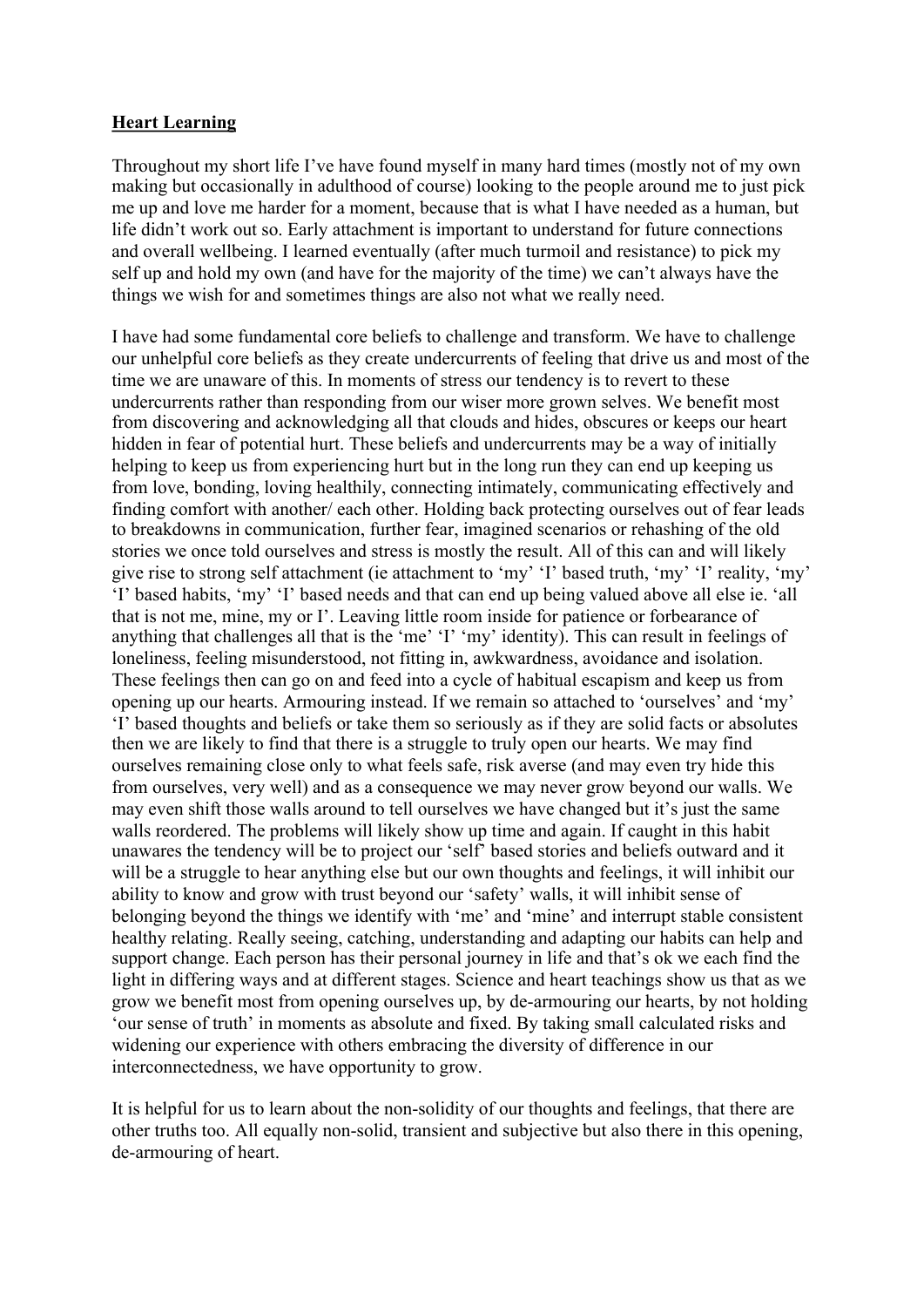#### **Heart Learning**

Throughout my short life I've have found myself in many hard times (mostly not of my own making but occasionally in adulthood of course) looking to the people around me to just pick me up and love me harder for a moment, because that is what I have needed as a human, but life didn't work out so. Early attachment is important to understand for future connections and overall wellbeing. I learned eventually (after much turmoil and resistance) to pick my self up and hold my own (and have for the majority of the time) we can't always have the things we wish for and sometimes things are also not what we really need.

I have had some fundamental core beliefs to challenge and transform. We have to challenge our unhelpful core beliefs as they create undercurrents of feeling that drive us and most of the time we are unaware of this. In moments of stress our tendency is to revert to these undercurrents rather than responding from our wiser more grown selves. We benefit most from discovering and acknowledging all that clouds and hides, obscures or keeps our heart hidden in fear of potential hurt. These beliefs and undercurrents may be a way of initially helping to keep us from experiencing hurt but in the long run they can end up keeping us from love, bonding, loving healthily, connecting intimately, communicating effectively and finding comfort with another/ each other. Holding back protecting ourselves out of fear leads to breakdowns in communication, further fear, imagined scenarios or rehashing of the old stories we once told ourselves and stress is mostly the result. All of this can and will likely give rise to strong self attachment (ie attachment to 'my' 'I' based truth, 'my' 'I' reality, 'my' 'I' based habits, 'my' 'I' based needs and that can end up being valued above all else ie. 'all that is not me, mine, my or I'. Leaving little room inside for patience or forbearance of anything that challenges all that is the 'me' 'I' 'my' identity). This can result in feelings of loneliness, feeling misunderstood, not fitting in, awkwardness, avoidance and isolation. These feelings then can go on and feed into a cycle of habitual escapism and keep us from opening up our hearts. Armouring instead. If we remain so attached to 'ourselves' and 'my' 'I' based thoughts and beliefs or take them so seriously as if they are solid facts or absolutes then we are likely to find that there is a struggle to truly open our hearts. We may find ourselves remaining close only to what feels safe, risk averse (and may even try hide this from ourselves, very well) and as a consequence we may never grow beyond our walls. We may even shift those walls around to tell ourselves we have changed but it's just the same walls reordered. The problems will likely show up time and again. If caught in this habit unawares the tendency will be to project our 'self' based stories and beliefs outward and it will be a struggle to hear anything else but our own thoughts and feelings, it will inhibit our ability to know and grow with trust beyond our 'safety' walls, it will inhibit sense of belonging beyond the things we identify with 'me' and 'mine' and interrupt stable consistent healthy relating. Really seeing, catching, understanding and adapting our habits can help and support change. Each person has their personal journey in life and that's ok we each find the light in differing ways and at different stages. Science and heart teachings show us that as we grow we benefit most from opening ourselves up, by de-armouring our hearts, by not holding 'our sense of truth' in moments as absolute and fixed. By taking small calculated risks and widening our experience with others embracing the diversity of difference in our interconnectedness, we have opportunity to grow.

It is helpful for us to learn about the non-solidity of our thoughts and feelings, that there are other truths too. All equally non-solid, transient and subjective but also there in this opening, de-armouring of heart.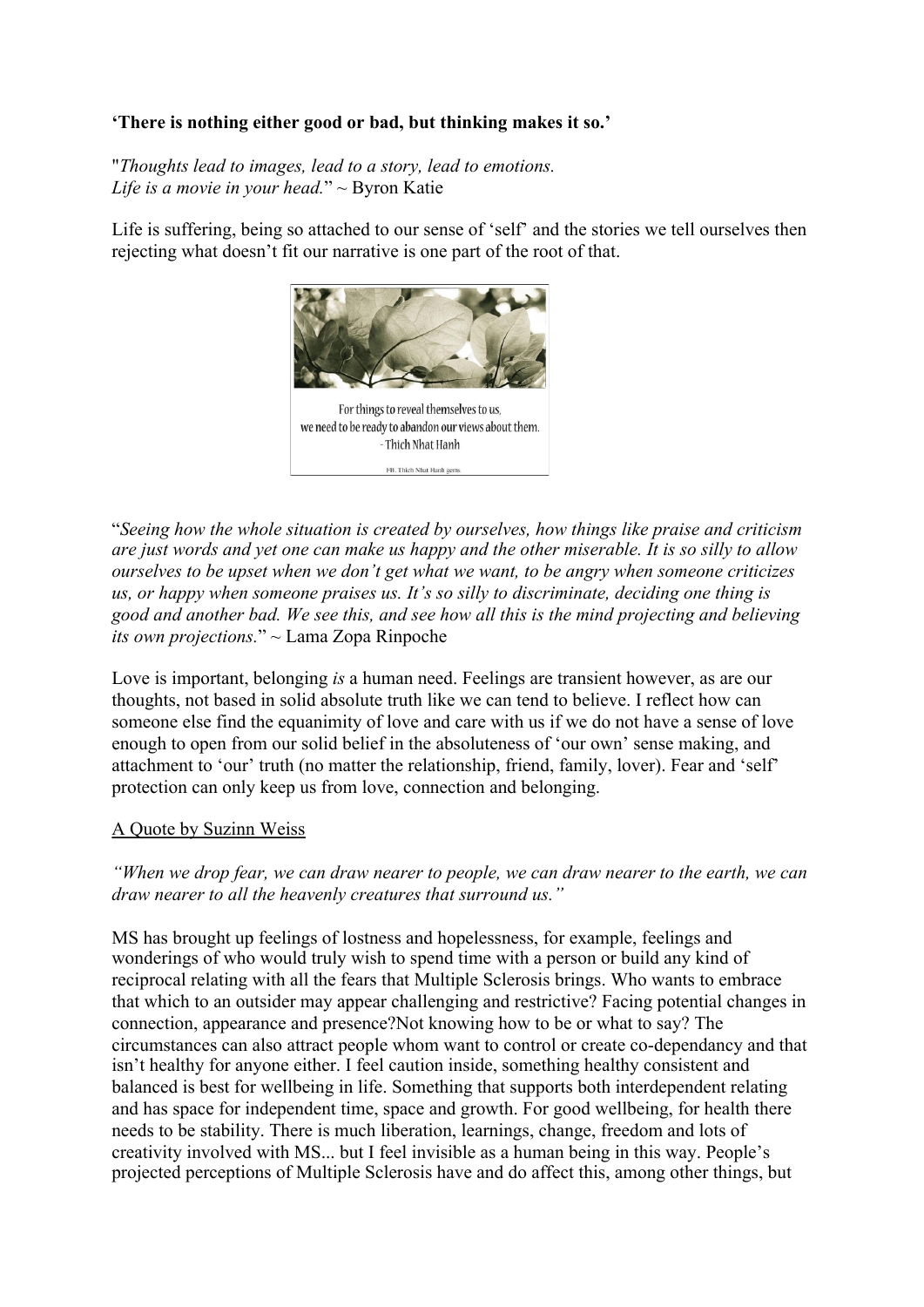# **'There is nothing either good or bad, but thinking makes it so.'**

"*Thoughts lead to images, lead to a story, lead to emotions. Life is a movie in your head.*" ~ Byron Katie

Life is suffering, being so attached to our sense of 'self' and the stories we tell ourselves then rejecting what doesn't fit our narrative is one part of the root of that.



"*Seeing how the whole situation is created by ourselves, how things like praise and criticism are just words and yet one can make us happy and the other miserable. It is so silly to allow ourselves to be upset when we don't get what we want, to be angry when someone criticizes us, or happy when someone praises us. It's so silly to discriminate, deciding one thing is good and another bad. We see this, and see how all this is the mind projecting and believing its own projections.*" ~ Lama Zopa Rinpoche

Love is important, belonging *is* a human need. Feelings are transient however, as are our thoughts, not based in solid absolute truth like we can tend to believe. I reflect how can someone else find the equanimity of love and care with us if we do not have a sense of love enough to open from our solid belief in the absoluteness of 'our own' sense making, and attachment to 'our' truth (no matter the relationship, friend, family, lover). Fear and 'self' protection can only keep us from love, connection and belonging.

## A Quote by Suzinn Weiss

*"When we drop fear, we can draw nearer to people, we can draw nearer to the earth, we can draw nearer to all the heavenly creatures that surround us."*

MS has brought up feelings of lostness and hopelessness, for example, feelings and wonderings of who would truly wish to spend time with a person or build any kind of reciprocal relating with all the fears that Multiple Sclerosis brings. Who wants to embrace that which to an outsider may appear challenging and restrictive? Facing potential changes in connection, appearance and presence?Not knowing how to be or what to say? The circumstances can also attract people whom want to control or create co-dependancy and that isn't healthy for anyone either. I feel caution inside, something healthy consistent and balanced is best for wellbeing in life. Something that supports both interdependent relating and has space for independent time, space and growth. For good wellbeing, for health there needs to be stability. There is much liberation, learnings, change, freedom and lots of creativity involved with MS... but I feel invisible as a human being in this way. People's projected perceptions of Multiple Sclerosis have and do affect this, among other things, but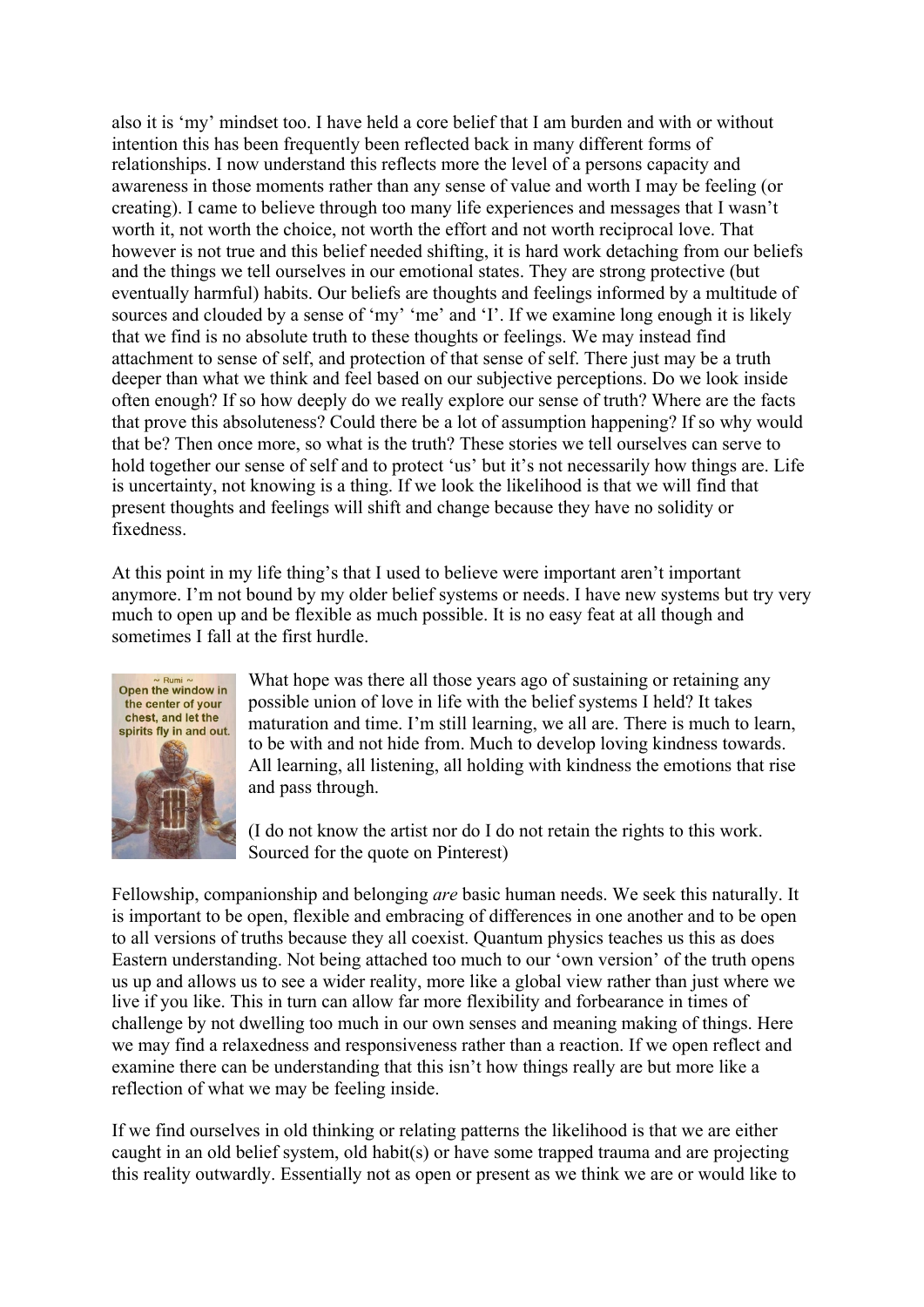also it is 'my' mindset too. I have held a core belief that I am burden and with or without intention this has been frequently been reflected back in many different forms of relationships. I now understand this reflects more the level of a persons capacity and awareness in those moments rather than any sense of value and worth I may be feeling (or creating). I came to believe through too many life experiences and messages that I wasn't worth it, not worth the choice, not worth the effort and not worth reciprocal love. That however is not true and this belief needed shifting, it is hard work detaching from our beliefs and the things we tell ourselves in our emotional states. They are strong protective (but eventually harmful) habits. Our beliefs are thoughts and feelings informed by a multitude of sources and clouded by a sense of 'my' 'me' and 'I'. If we examine long enough it is likely that we find is no absolute truth to these thoughts or feelings. We may instead find attachment to sense of self, and protection of that sense of self. There just may be a truth deeper than what we think and feel based on our subjective perceptions. Do we look inside often enough? If so how deeply do we really explore our sense of truth? Where are the facts that prove this absoluteness? Could there be a lot of assumption happening? If so why would that be? Then once more, so what is the truth? These stories we tell ourselves can serve to hold together our sense of self and to protect 'us' but it's not necessarily how things are. Life is uncertainty, not knowing is a thing. If we look the likelihood is that we will find that present thoughts and feelings will shift and change because they have no solidity or fixedness.

At this point in my life thing's that I used to believe were important aren't important anymore. I'm not bound by my older belief systems or needs. I have new systems but try very much to open up and be flexible as much possible. It is no easy feat at all though and sometimes I fall at the first hurdle.



What hope was there all those years ago of sustaining or retaining any possible union of love in life with the belief systems I held? It takes maturation and time. I'm still learning, we all are. There is much to learn, to be with and not hide from. Much to develop loving kindness towards. All learning, all listening, all holding with kindness the emotions that rise and pass through.

(I do not know the artist nor do I do not retain the rights to this work. Sourced for the quote on Pinterest)

Fellowship, companionship and belonging *are* basic human needs. We seek this naturally. It is important to be open, flexible and embracing of differences in one another and to be open to all versions of truths because they all coexist. Quantum physics teaches us this as does Eastern understanding. Not being attached too much to our 'own version' of the truth opens us up and allows us to see a wider reality, more like a global view rather than just where we live if you like. This in turn can allow far more flexibility and forbearance in times of challenge by not dwelling too much in our own senses and meaning making of things. Here we may find a relaxedness and responsiveness rather than a reaction. If we open reflect and examine there can be understanding that this isn't how things really are but more like a reflection of what we may be feeling inside.

If we find ourselves in old thinking or relating patterns the likelihood is that we are either caught in an old belief system, old habit(s) or have some trapped trauma and are projecting this reality outwardly. Essentially not as open or present as we think we are or would like to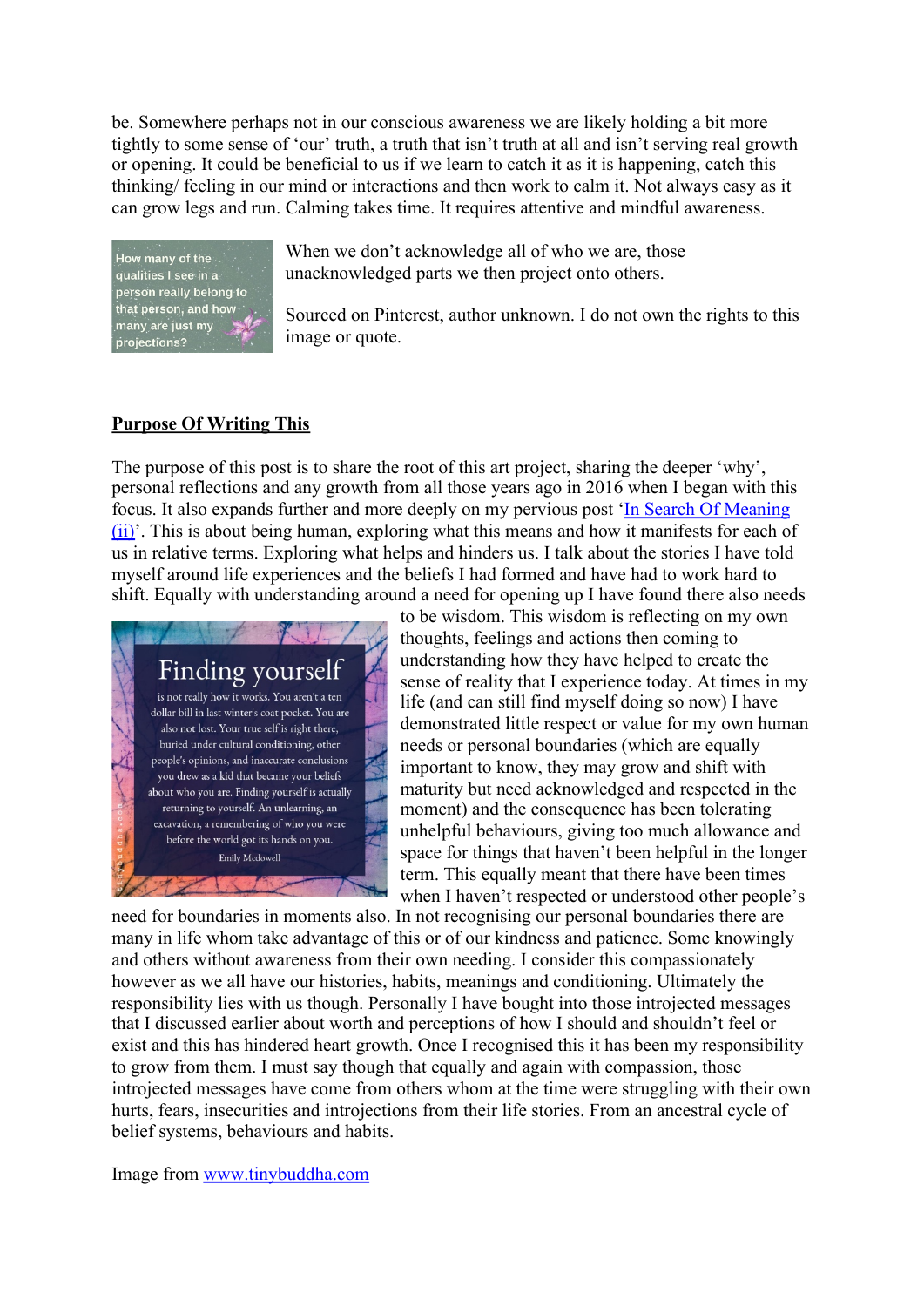be. Somewhere perhaps not in our conscious awareness we are likely holding a bit more tightly to some sense of 'our' truth, a truth that isn't truth at all and isn't serving real growth or opening. It could be beneficial to us if we learn to catch it as it is happening, catch this thinking/ feeling in our mind or interactions and then work to calm it. Not always easy as it can grow legs and run. Calming takes time. It requires attentive and mindful awareness.



When we don't acknowledge all of who we are, those unacknowledged parts we then project onto others.

Sourced on Pinterest, author unknown. I do not own the rights to this image or quote.

#### **Purpose Of Writing This**

The purpose of this post is to share the root of this art project, sharing the deeper 'why', personal reflections and any growth from all those years ago in 2016 when I began with this focus. It also expands further and more deeply on my pervious post 'In Search Of Meaning (ii)'. This is about being human, exploring what this means and how it manifests for each of us in relative terms. Exploring what helps and hinders us. I talk about the stories I have told myself around life experiences and the beliefs I had formed and have had to work hard to shift. Equally with understanding around a need for opening up I have found there also needs



to be wisdom. This wisdom is reflecting on my own thoughts, feelings and actions then coming to understanding how they have helped to create the sense of reality that I experience today. At times in my life (and can still find myself doing so now) I have demonstrated little respect or value for my own human needs or personal boundaries (which are equally important to know, they may grow and shift with maturity but need acknowledged and respected in the moment) and the consequence has been tolerating unhelpful behaviours, giving too much allowance and space for things that haven't been helpful in the longer term. This equally meant that there have been times when I haven't respected or understood other people's

need for boundaries in moments also. In not recognising our personal boundaries there are many in life whom take advantage of this or of our kindness and patience. Some knowingly and others without awareness from their own needing. I consider this compassionately however as we all have our histories, habits, meanings and conditioning. Ultimately the responsibility lies with us though. Personally I have bought into those introjected messages that I discussed earlier about worth and perceptions of how I should and shouldn't feel or exist and this has hindered heart growth. Once I recognised this it has been my responsibility to grow from them. I must say though that equally and again with compassion, those introjected messages have come from others whom at the time were struggling with their own hurts, fears, insecurities and introjections from their life stories. From an ancestral cycle of belief systems, behaviours and habits.

Image from www.tinybuddha.com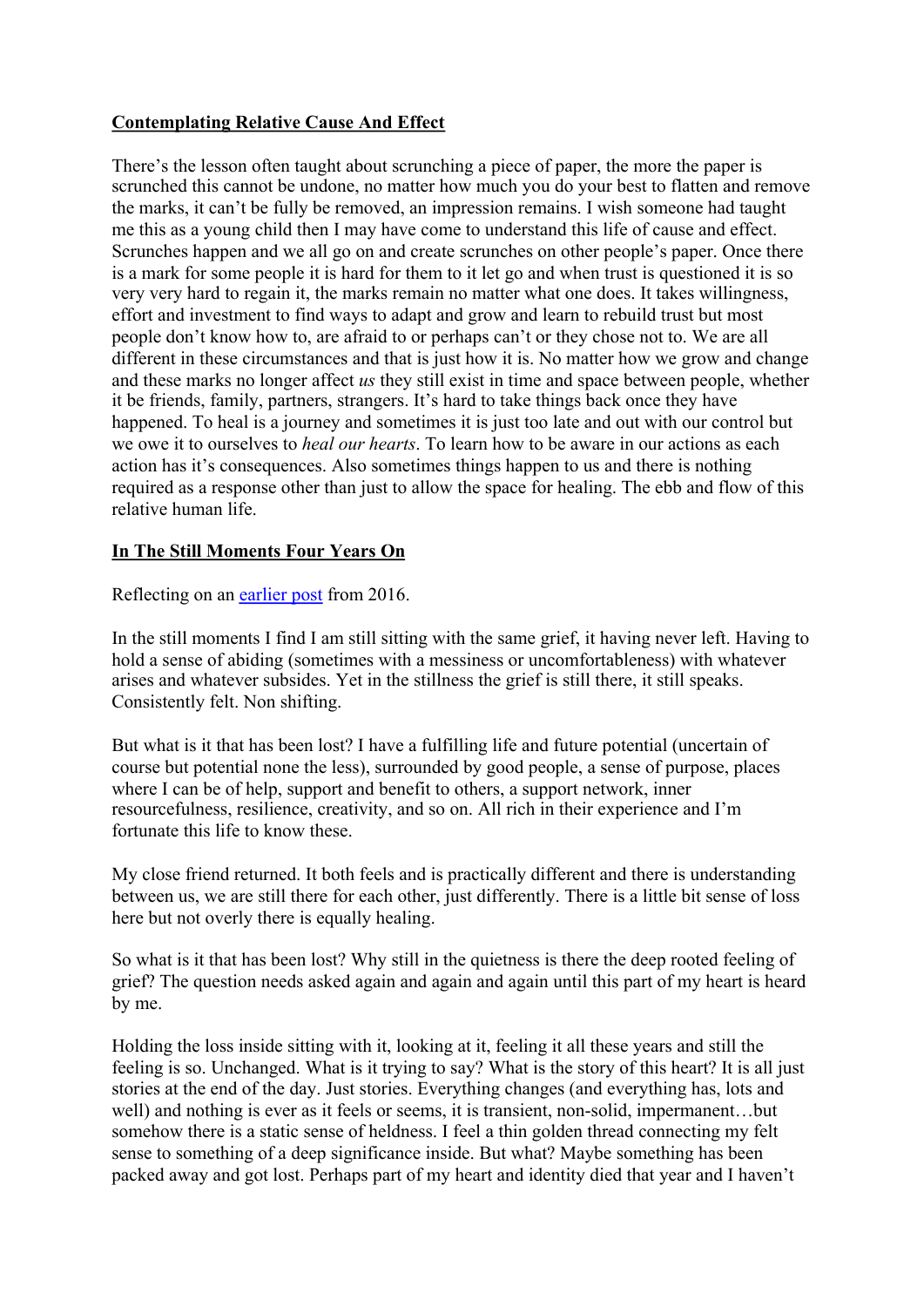# **Contemplating Relative Cause And Effect**

There's the lesson often taught about scrunching a piece of paper, the more the paper is scrunched this cannot be undone, no matter how much you do your best to flatten and remove the marks, it can't be fully be removed, an impression remains. I wish someone had taught me this as a young child then I may have come to understand this life of cause and effect. Scrunches happen and we all go on and create scrunches on other people's paper. Once there is a mark for some people it is hard for them to it let go and when trust is questioned it is so very very hard to regain it, the marks remain no matter what one does. It takes willingness, effort and investment to find ways to adapt and grow and learn to rebuild trust but most people don't know how to, are afraid to or perhaps can't or they chose not to. We are all different in these circumstances and that is just how it is. No matter how we grow and change and these marks no longer affect *us* they still exist in time and space between people, whether it be friends, family, partners, strangers. It's hard to take things back once they have happened. To heal is a journey and sometimes it is just too late and out with our control but we owe it to ourselves to *heal our hearts*. To learn how to be aware in our actions as each action has it's consequences. Also sometimes things happen to us and there is nothing required as a response other than just to allow the space for healing. The ebb and flow of this relative human life.

# **In The Still Moments Four Years On**

Reflecting on an earlier post from 2016.

In the still moments I find I am still sitting with the same grief, it having never left. Having to hold a sense of abiding (sometimes with a messiness or uncomfortableness) with whatever arises and whatever subsides. Yet in the stillness the grief is still there, it still speaks. Consistently felt. Non shifting.

But what is it that has been lost? I have a fulfilling life and future potential (uncertain of course but potential none the less), surrounded by good people, a sense of purpose, places where I can be of help, support and benefit to others, a support network, inner resourcefulness, resilience, creativity, and so on. All rich in their experience and I'm fortunate this life to know these.

My close friend returned. It both feels and is practically different and there is understanding between us, we are still there for each other, just differently. There is a little bit sense of loss here but not overly there is equally healing.

So what is it that has been lost? Why still in the quietness is there the deep rooted feeling of grief? The question needs asked again and again and again until this part of my heart is heard by me.

Holding the loss inside sitting with it, looking at it, feeling it all these years and still the feeling is so. Unchanged. What is it trying to say? What is the story of this heart? It is all just stories at the end of the day. Just stories. Everything changes (and everything has, lots and well) and nothing is ever as it feels or seems, it is transient, non-solid, impermanent…but somehow there is a static sense of heldness. I feel a thin golden thread connecting my felt sense to something of a deep significance inside. But what? Maybe something has been packed away and got lost. Perhaps part of my heart and identity died that year and I haven't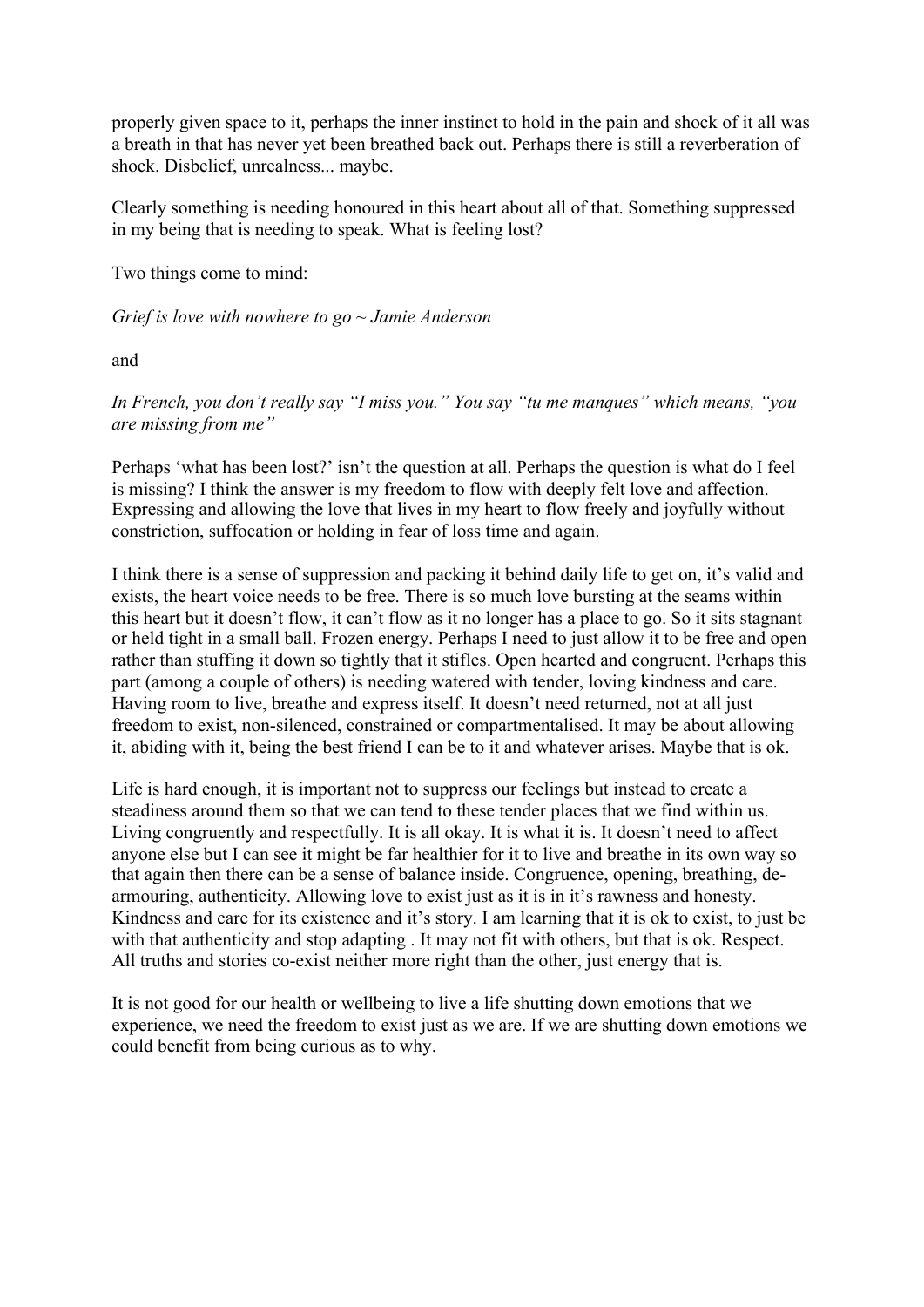properly given space to it, perhaps the inner instinct to hold in the pain and shock of it all was a breath in that has never yet been breathed back out. Perhaps there is still a reverberation of shock. Disbelief, unrealness... maybe.

Clearly something is needing honoured in this heart about all of that. Something suppressed in my being that is needing to speak. What is feeling lost?

Two things come to mind:

*Grief is love with nowhere to go ~ Jamie Anderson*

and

*In French, you don't really say "I miss you." You say "tu me manques" which means, "you are missing from me"*

Perhaps 'what has been lost?' isn't the question at all. Perhaps the question is what do I feel is missing? I think the answer is my freedom to flow with deeply felt love and affection. Expressing and allowing the love that lives in my heart to flow freely and joyfully without constriction, suffocation or holding in fear of loss time and again.

I think there is a sense of suppression and packing it behind daily life to get on, it's valid and exists, the heart voice needs to be free. There is so much love bursting at the seams within this heart but it doesn't flow, it can't flow as it no longer has a place to go. So it sits stagnant or held tight in a small ball. Frozen energy. Perhaps I need to just allow it to be free and open rather than stuffing it down so tightly that it stifles. Open hearted and congruent. Perhaps this part (among a couple of others) is needing watered with tender, loving kindness and care. Having room to live, breathe and express itself. It doesn't need returned, not at all just freedom to exist, non-silenced, constrained or compartmentalised. It may be about allowing it, abiding with it, being the best friend I can be to it and whatever arises. Maybe that is ok.

Life is hard enough, it is important not to suppress our feelings but instead to create a steadiness around them so that we can tend to these tender places that we find within us. Living congruently and respectfully. It is all okay. It is what it is. It doesn't need to affect anyone else but I can see it might be far healthier for it to live and breathe in its own way so that again then there can be a sense of balance inside. Congruence, opening, breathing, dearmouring, authenticity. Allowing love to exist just as it is in it's rawness and honesty. Kindness and care for its existence and it's story. I am learning that it is ok to exist, to just be with that authenticity and stop adapting . It may not fit with others, but that is ok. Respect. All truths and stories co-exist neither more right than the other, just energy that is.

It is not good for our health or wellbeing to live a life shutting down emotions that we experience, we need the freedom to exist just as we are. If we are shutting down emotions we could benefit from being curious as to why.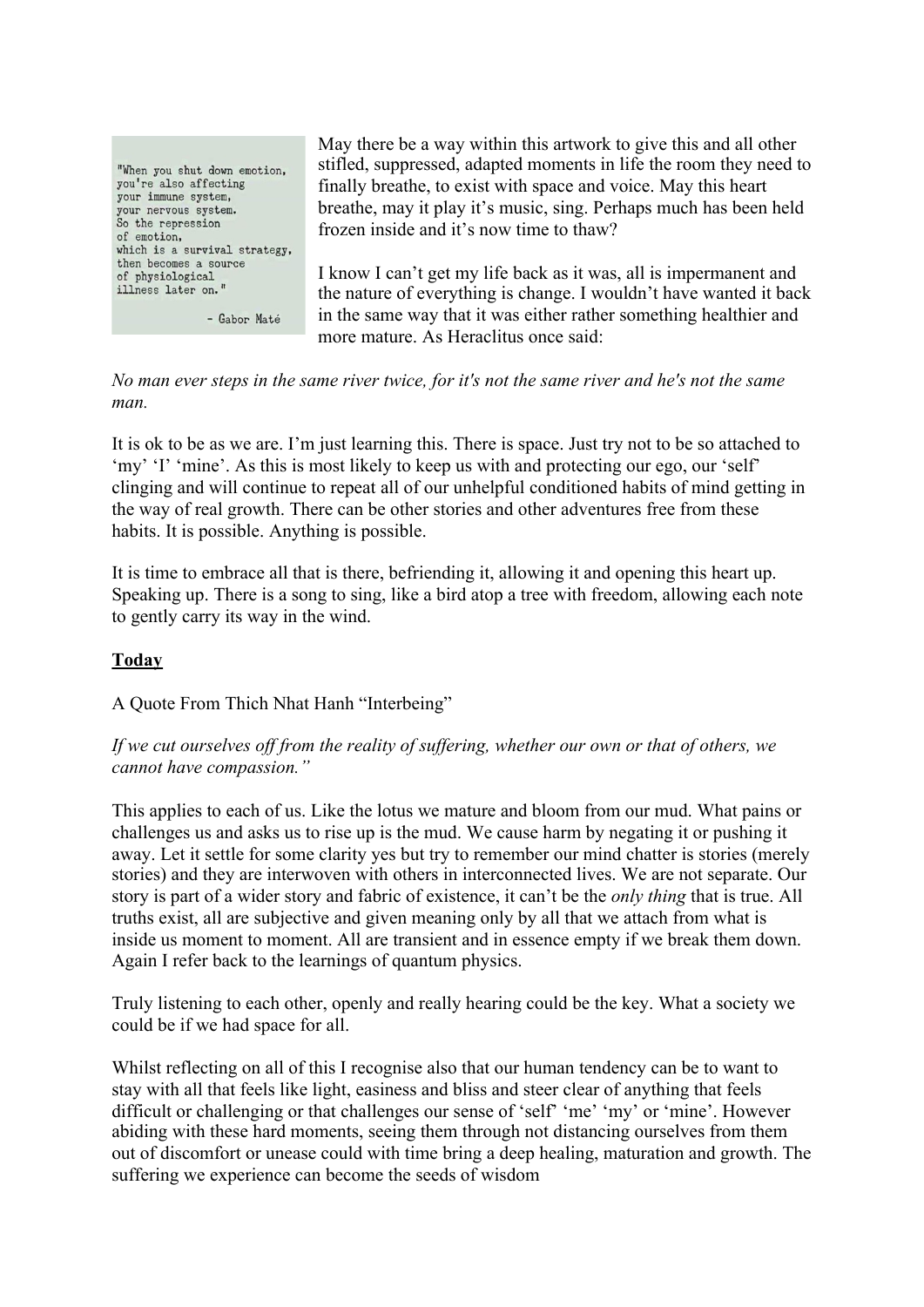"When you shut down emotion, you're also affecting your immune system, your nervous system.<br>So the repression of emotion. which is a survival strategy, then becomes a source of physiological illness later on."

- Gabor Maté

May there be a way within this artwork to give this and all other stifled, suppressed, adapted moments in life the room they need to finally breathe, to exist with space and voice. May this heart breathe, may it play it's music, sing. Perhaps much has been held frozen inside and it's now time to thaw?

I know I can't get my life back as it was, all is impermanent and the nature of everything is change. I wouldn't have wanted it back in the same way that it was either rather something healthier and more mature. As Heraclitus once said:

*No man ever steps in the same river twice, for it's not the same river and he's not the same man.*

It is ok to be as we are. I'm just learning this. There is space. Just try not to be so attached to 'my' 'I' 'mine'. As this is most likely to keep us with and protecting our ego, our 'self' clinging and will continue to repeat all of our unhelpful conditioned habits of mind getting in the way of real growth. There can be other stories and other adventures free from these habits. It is possible. Anything is possible.

It is time to embrace all that is there, befriending it, allowing it and opening this heart up. Speaking up. There is a song to sing, like a bird atop a tree with freedom, allowing each note to gently carry its way in the wind.

#### **Today**

A Quote From Thich Nhat Hanh "Interbeing"

*If we cut ourselves off from the reality of suffering, whether our own or that of others, we cannot have compassion."*

This applies to each of us. Like the lotus we mature and bloom from our mud. What pains or challenges us and asks us to rise up is the mud. We cause harm by negating it or pushing it away. Let it settle for some clarity yes but try to remember our mind chatter is stories (merely stories) and they are interwoven with others in interconnected lives. We are not separate. Our story is part of a wider story and fabric of existence, it can't be the *only thing* that is true. All truths exist, all are subjective and given meaning only by all that we attach from what is inside us moment to moment. All are transient and in essence empty if we break them down. Again I refer back to the learnings of quantum physics.

Truly listening to each other, openly and really hearing could be the key. What a society we could be if we had space for all.

Whilst reflecting on all of this I recognise also that our human tendency can be to want to stay with all that feels like light, easiness and bliss and steer clear of anything that feels difficult or challenging or that challenges our sense of 'self' 'me' 'my' or 'mine'. However abiding with these hard moments, seeing them through not distancing ourselves from them out of discomfort or unease could with time bring a deep healing, maturation and growth. The suffering we experience can become the seeds of wisdom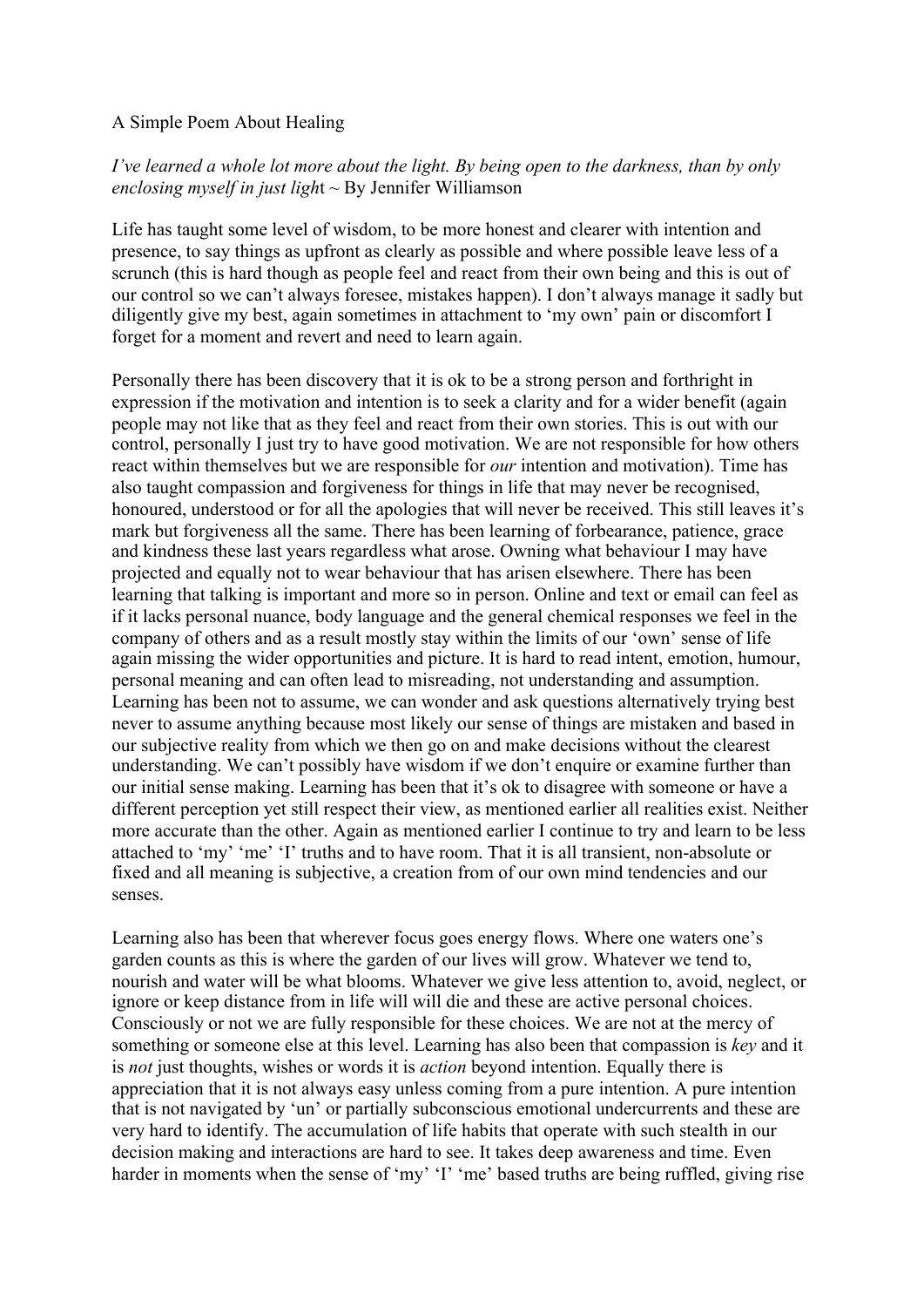#### A Simple Poem About Healing

## *I've learned a whole lot more about the light. By being open to the darkness, than by only enclosing myself in just ligh*t ~ By Jennifer Williamson

Life has taught some level of wisdom, to be more honest and clearer with intention and presence, to say things as upfront as clearly as possible and where possible leave less of a scrunch (this is hard though as people feel and react from their own being and this is out of our control so we can't always foresee, mistakes happen). I don't always manage it sadly but diligently give my best, again sometimes in attachment to 'my own' pain or discomfort I forget for a moment and revert and need to learn again.

Personally there has been discovery that it is ok to be a strong person and forthright in expression if the motivation and intention is to seek a clarity and for a wider benefit (again people may not like that as they feel and react from their own stories. This is out with our control, personally I just try to have good motivation. We are not responsible for how others react within themselves but we are responsible for *our* intention and motivation). Time has also taught compassion and forgiveness for things in life that may never be recognised, honoured, understood or for all the apologies that will never be received. This still leaves it's mark but forgiveness all the same. There has been learning of forbearance, patience, grace and kindness these last years regardless what arose. Owning what behaviour I may have projected and equally not to wear behaviour that has arisen elsewhere. There has been learning that talking is important and more so in person. Online and text or email can feel as if it lacks personal nuance, body language and the general chemical responses we feel in the company of others and as a result mostly stay within the limits of our 'own' sense of life again missing the wider opportunities and picture. It is hard to read intent, emotion, humour, personal meaning and can often lead to misreading, not understanding and assumption. Learning has been not to assume, we can wonder and ask questions alternatively trying best never to assume anything because most likely our sense of things are mistaken and based in our subjective reality from which we then go on and make decisions without the clearest understanding. We can't possibly have wisdom if we don't enquire or examine further than our initial sense making. Learning has been that it's ok to disagree with someone or have a different perception yet still respect their view, as mentioned earlier all realities exist. Neither more accurate than the other. Again as mentioned earlier I continue to try and learn to be less attached to 'my' 'me' 'I' truths and to have room. That it is all transient, non-absolute or fixed and all meaning is subjective, a creation from of our own mind tendencies and our senses.

Learning also has been that wherever focus goes energy flows. Where one waters one's garden counts as this is where the garden of our lives will grow. Whatever we tend to, nourish and water will be what blooms. Whatever we give less attention to, avoid, neglect, or ignore or keep distance from in life will will die and these are active personal choices. Consciously or not we are fully responsible for these choices. We are not at the mercy of something or someone else at this level. Learning has also been that compassion is *key* and it is *not* just thoughts, wishes or words it is *action* beyond intention. Equally there is appreciation that it is not always easy unless coming from a pure intention. A pure intention that is not navigated by 'un' or partially subconscious emotional undercurrents and these are very hard to identify. The accumulation of life habits that operate with such stealth in our decision making and interactions are hard to see. It takes deep awareness and time. Even harder in moments when the sense of 'my' 'I' 'me' based truths are being ruffled, giving rise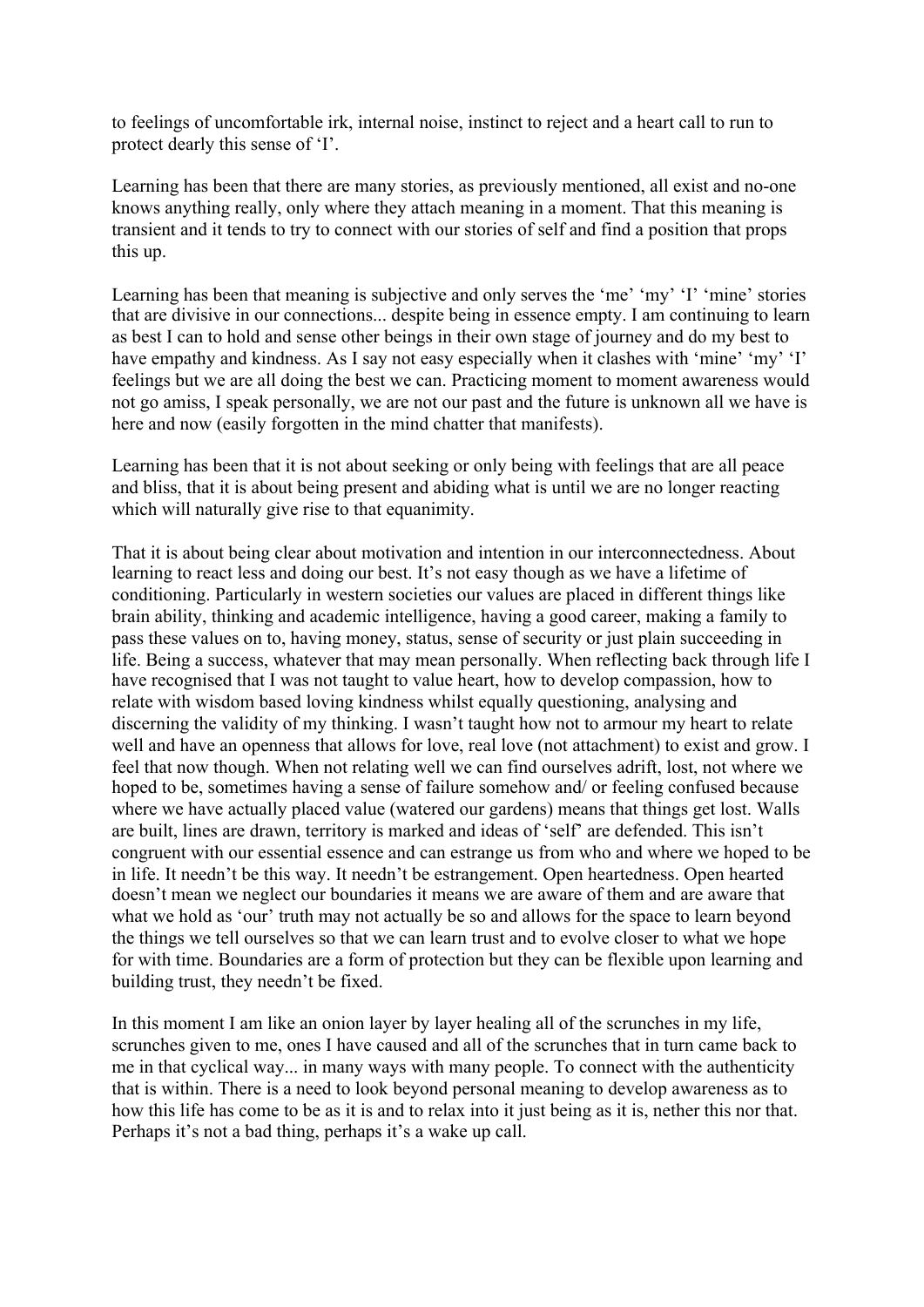to feelings of uncomfortable irk, internal noise, instinct to reject and a heart call to run to protect dearly this sense of 'I'.

Learning has been that there are many stories, as previously mentioned, all exist and no-one knows anything really, only where they attach meaning in a moment. That this meaning is transient and it tends to try to connect with our stories of self and find a position that props this up.

Learning has been that meaning is subjective and only serves the 'me' 'my' 'I' 'mine' stories that are divisive in our connections... despite being in essence empty. I am continuing to learn as best I can to hold and sense other beings in their own stage of journey and do my best to have empathy and kindness. As I say not easy especially when it clashes with 'mine' 'my' 'I' feelings but we are all doing the best we can. Practicing moment to moment awareness would not go amiss, I speak personally, we are not our past and the future is unknown all we have is here and now (easily forgotten in the mind chatter that manifests).

Learning has been that it is not about seeking or only being with feelings that are all peace and bliss, that it is about being present and abiding what is until we are no longer reacting which will naturally give rise to that equanimity.

That it is about being clear about motivation and intention in our interconnectedness. About learning to react less and doing our best. It's not easy though as we have a lifetime of conditioning. Particularly in western societies our values are placed in different things like brain ability, thinking and academic intelligence, having a good career, making a family to pass these values on to, having money, status, sense of security or just plain succeeding in life. Being a success, whatever that may mean personally. When reflecting back through life I have recognised that I was not taught to value heart, how to develop compassion, how to relate with wisdom based loving kindness whilst equally questioning, analysing and discerning the validity of my thinking. I wasn't taught how not to armour my heart to relate well and have an openness that allows for love, real love (not attachment) to exist and grow. I feel that now though. When not relating well we can find ourselves adrift, lost, not where we hoped to be, sometimes having a sense of failure somehow and/ or feeling confused because where we have actually placed value (watered our gardens) means that things get lost. Walls are built, lines are drawn, territory is marked and ideas of 'self' are defended. This isn't congruent with our essential essence and can estrange us from who and where we hoped to be in life. It needn't be this way. It needn't be estrangement. Open heartedness. Open hearted doesn't mean we neglect our boundaries it means we are aware of them and are aware that what we hold as 'our' truth may not actually be so and allows for the space to learn beyond the things we tell ourselves so that we can learn trust and to evolve closer to what we hope for with time. Boundaries are a form of protection but they can be flexible upon learning and building trust, they needn't be fixed.

In this moment I am like an onion layer by layer healing all of the scrunches in my life, scrunches given to me, ones I have caused and all of the scrunches that in turn came back to me in that cyclical way... in many ways with many people. To connect with the authenticity that is within. There is a need to look beyond personal meaning to develop awareness as to how this life has come to be as it is and to relax into it just being as it is, nether this nor that. Perhaps it's not a bad thing, perhaps it's a wake up call.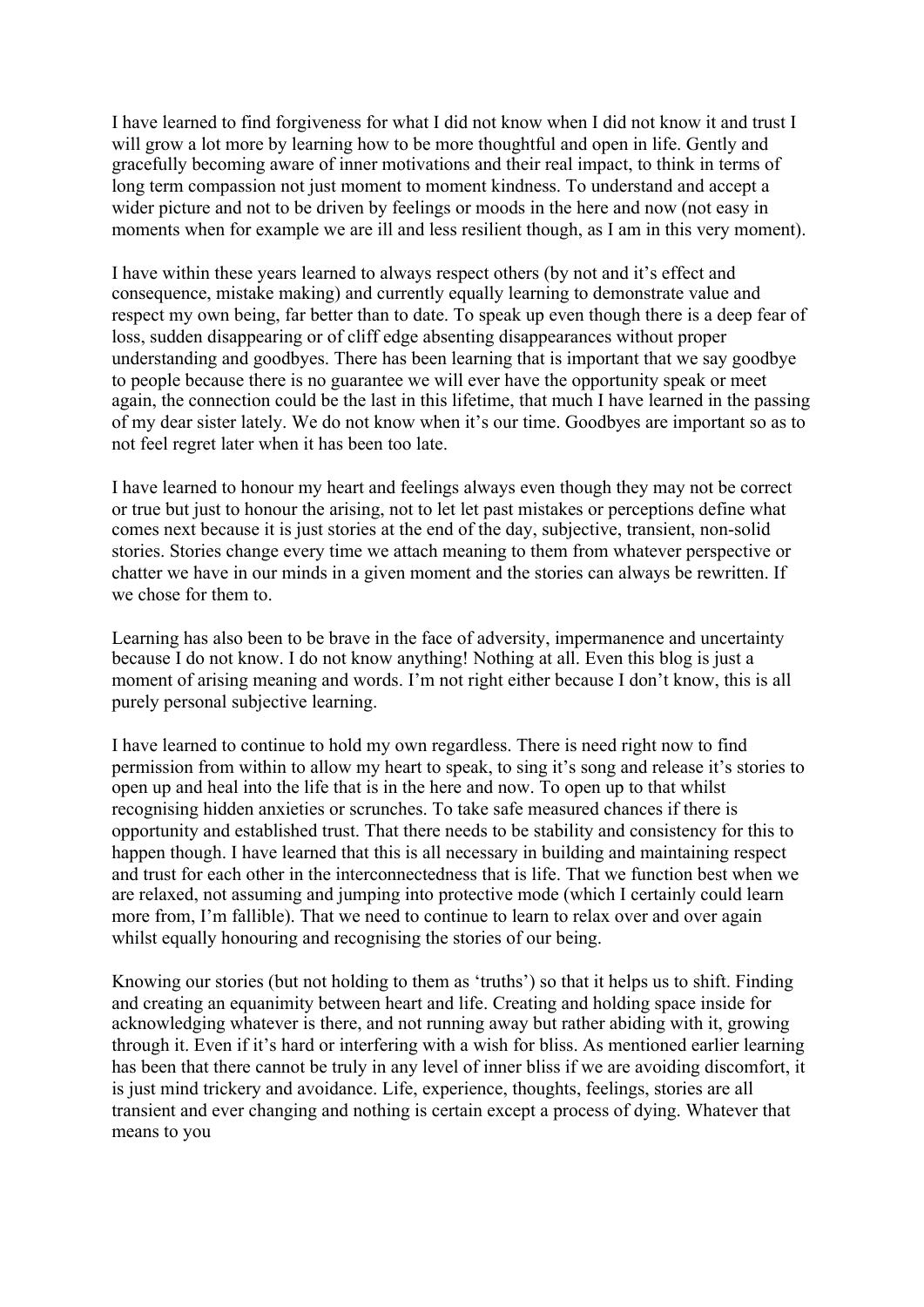I have learned to find forgiveness for what I did not know when I did not know it and trust I will grow a lot more by learning how to be more thoughtful and open in life. Gently and gracefully becoming aware of inner motivations and their real impact, to think in terms of long term compassion not just moment to moment kindness. To understand and accept a wider picture and not to be driven by feelings or moods in the here and now (not easy in moments when for example we are ill and less resilient though, as I am in this very moment).

I have within these years learned to always respect others (by not and it's effect and consequence, mistake making) and currently equally learning to demonstrate value and respect my own being, far better than to date. To speak up even though there is a deep fear of loss, sudden disappearing or of cliff edge absenting disappearances without proper understanding and goodbyes. There has been learning that is important that we say goodbye to people because there is no guarantee we will ever have the opportunity speak or meet again, the connection could be the last in this lifetime, that much I have learned in the passing of my dear sister lately. We do not know when it's our time. Goodbyes are important so as to not feel regret later when it has been too late.

I have learned to honour my heart and feelings always even though they may not be correct or true but just to honour the arising, not to let let past mistakes or perceptions define what comes next because it is just stories at the end of the day, subjective, transient, non-solid stories. Stories change every time we attach meaning to them from whatever perspective or chatter we have in our minds in a given moment and the stories can always be rewritten. If we chose for them to.

Learning has also been to be brave in the face of adversity, impermanence and uncertainty because I do not know. I do not know anything! Nothing at all. Even this blog is just a moment of arising meaning and words. I'm not right either because I don't know, this is all purely personal subjective learning.

I have learned to continue to hold my own regardless. There is need right now to find permission from within to allow my heart to speak, to sing it's song and release it's stories to open up and heal into the life that is in the here and now. To open up to that whilst recognising hidden anxieties or scrunches. To take safe measured chances if there is opportunity and established trust. That there needs to be stability and consistency for this to happen though. I have learned that this is all necessary in building and maintaining respect and trust for each other in the interconnectedness that is life. That we function best when we are relaxed, not assuming and jumping into protective mode (which I certainly could learn more from, I'm fallible). That we need to continue to learn to relax over and over again whilst equally honouring and recognising the stories of our being.

Knowing our stories (but not holding to them as 'truths') so that it helps us to shift. Finding and creating an equanimity between heart and life. Creating and holding space inside for acknowledging whatever is there, and not running away but rather abiding with it, growing through it. Even if it's hard or interfering with a wish for bliss. As mentioned earlier learning has been that there cannot be truly in any level of inner bliss if we are avoiding discomfort, it is just mind trickery and avoidance. Life, experience, thoughts, feelings, stories are all transient and ever changing and nothing is certain except a process of dying. Whatever that means to you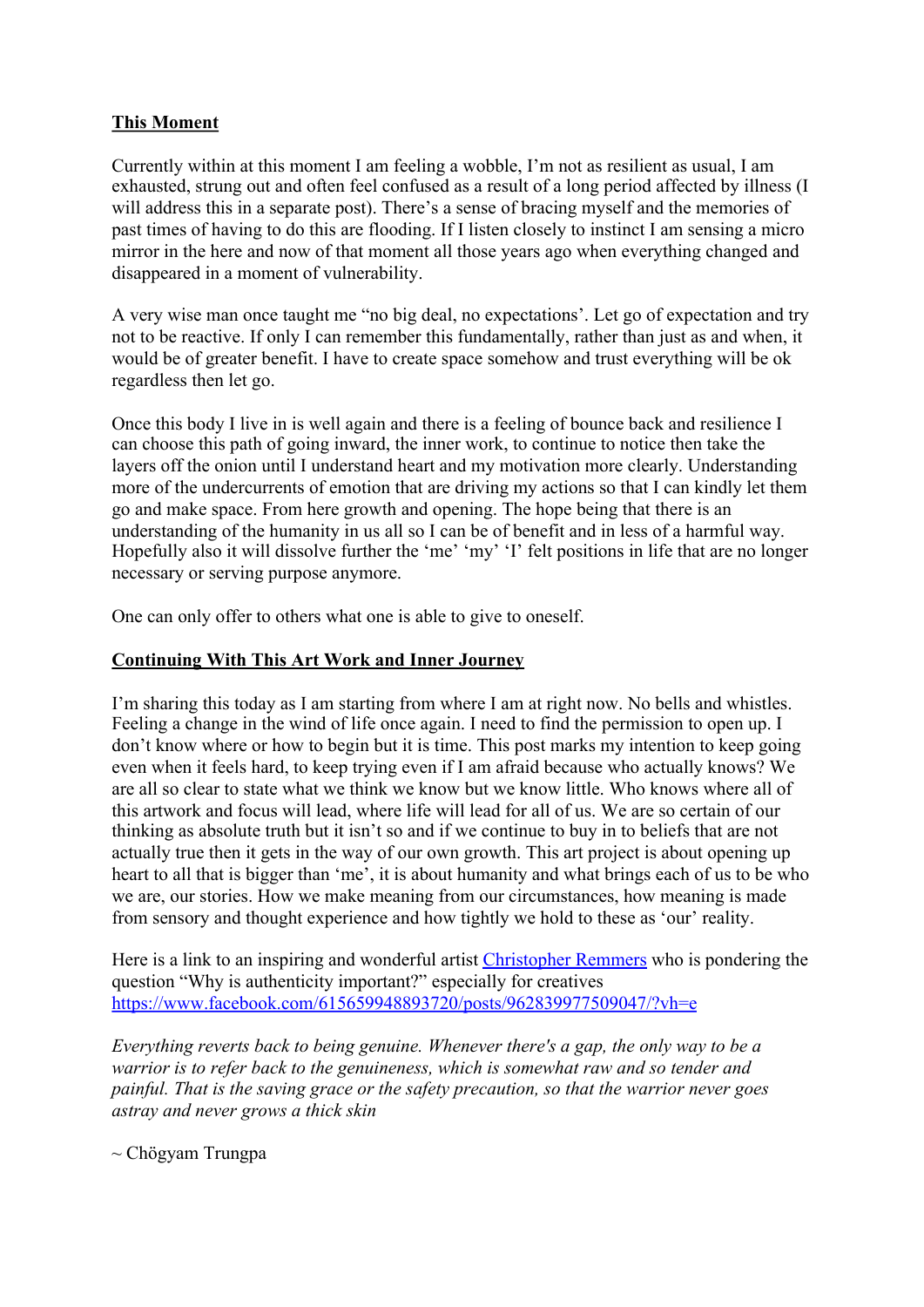# **This Moment**

Currently within at this moment I am feeling a wobble, I'm not as resilient as usual, I am exhausted, strung out and often feel confused as a result of a long period affected by illness (I will address this in a separate post). There's a sense of bracing myself and the memories of past times of having to do this are flooding. If I listen closely to instinct I am sensing a micro mirror in the here and now of that moment all those years ago when everything changed and disappeared in a moment of vulnerability.

A very wise man once taught me "no big deal, no expectations'. Let go of expectation and try not to be reactive. If only I can remember this fundamentally, rather than just as and when, it would be of greater benefit. I have to create space somehow and trust everything will be ok regardless then let go.

Once this body I live in is well again and there is a feeling of bounce back and resilience I can choose this path of going inward, the inner work, to continue to notice then take the layers off the onion until I understand heart and my motivation more clearly. Understanding more of the undercurrents of emotion that are driving my actions so that I can kindly let them go and make space. From here growth and opening. The hope being that there is an understanding of the humanity in us all so I can be of benefit and in less of a harmful way. Hopefully also it will dissolve further the 'me' 'my' 'I' felt positions in life that are no longer necessary or serving purpose anymore.

One can only offer to others what one is able to give to oneself.

## **Continuing With This Art Work and Inner Journey**

I'm sharing this today as I am starting from where I am at right now. No bells and whistles. Feeling a change in the wind of life once again. I need to find the permission to open up. I don't know where or how to begin but it is time. This post marks my intention to keep going even when it feels hard, to keep trying even if I am afraid because who actually knows? We are all so clear to state what we think we know but we know little. Who knows where all of this artwork and focus will lead, where life will lead for all of us. We are so certain of our thinking as absolute truth but it isn't so and if we continue to buy in to beliefs that are not actually true then it gets in the way of our own growth. This art project is about opening up heart to all that is bigger than 'me', it is about humanity and what brings each of us to be who we are, our stories. How we make meaning from our circumstances, how meaning is made from sensory and thought experience and how tightly we hold to these as 'our' reality.

Here is a link to an inspiring and wonderful artist Christopher Remmers who is pondering the question "Why is authenticity important?" especially for creatives https://www.facebook.com/615659948893720/posts/962839977509047/?vh=e

*Everything reverts back to being genuine. Whenever there's a gap, the only way to be a warrior is to refer back to the genuineness, which is somewhat raw and so tender and painful. That is the saving grace or the safety precaution, so that the warrior never goes astray and never grows a thick skin*

 $\sim$  Chögyam Trungpa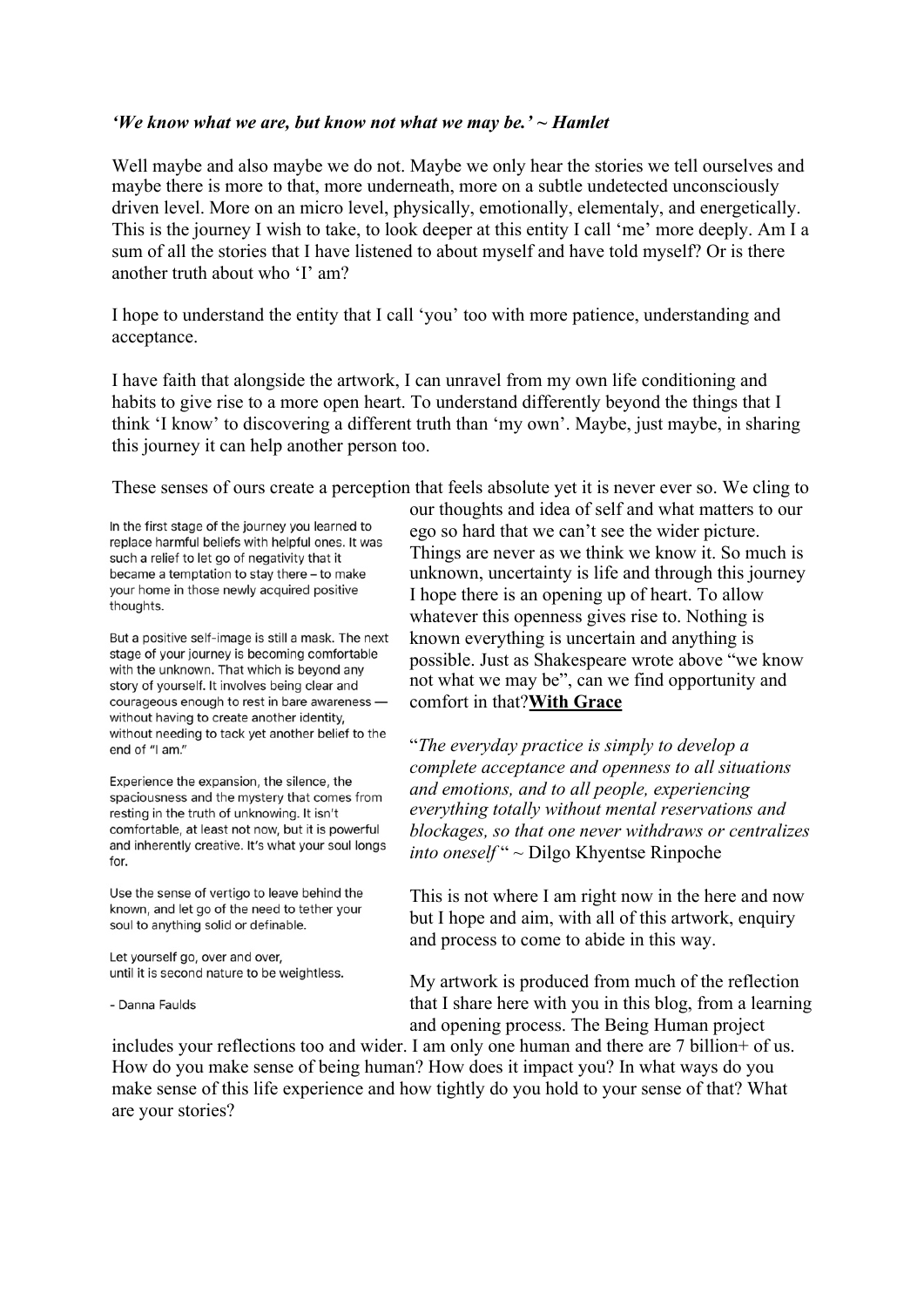#### *'We know what we are, but know not what we may be.' ~ Hamlet*

Well maybe and also maybe we do not. Maybe we only hear the stories we tell ourselves and maybe there is more to that, more underneath, more on a subtle undetected unconsciously driven level. More on an micro level, physically, emotionally, elementaly, and energetically. This is the journey I wish to take, to look deeper at this entity I call 'me' more deeply. Am I a sum of all the stories that I have listened to about myself and have told myself? Or is there another truth about who 'I' am?

I hope to understand the entity that I call 'you' too with more patience, understanding and acceptance.

I have faith that alongside the artwork, I can unravel from my own life conditioning and habits to give rise to a more open heart. To understand differently beyond the things that I think 'I know' to discovering a different truth than 'my own'. Maybe, just maybe, in sharing this journey it can help another person too.

These senses of ours create a perception that feels absolute yet it is never ever so. We cling to

In the first stage of the journey you learned to replace harmful beliefs with helpful ones. It was such a relief to let go of negativity that it became a temptation to stay there - to make your home in those newly acquired positive thoughts.

But a positive self-image is still a mask. The next stage of your journey is becoming comfortable with the unknown. That which is beyond any story of yourself. It involves being clear and courageous enough to rest in bare awareness without having to create another identity, without needing to tack yet another belief to the end of "I am."

Experience the expansion, the silence, the spaciousness and the mystery that comes from resting in the truth of unknowing. It isn't comfortable, at least not now, but it is powerful and inherently creative. It's what your soul longs for.

Use the sense of vertigo to leave behind the known, and let go of the need to tether your soul to anything solid or definable.

Let yourself go, over and over, until it is second nature to be weightless.

- Danna Faulds

our thoughts and idea of self and what matters to our ego so hard that we can't see the wider picture. Things are never as we think we know it. So much is unknown, uncertainty is life and through this journey I hope there is an opening up of heart. To allow whatever this openness gives rise to. Nothing is known everything is uncertain and anything is possible. Just as Shakespeare wrote above "we know not what we may be", can we find opportunity and comfort in that?**With Grace**

"*The everyday practice is simply to develop a complete acceptance and openness to all situations and emotions, and to all people, experiencing everything totally without mental reservations and blockages, so that one never withdraws or centralizes into oneself* " ~ Dilgo Khyentse Rinpoche

This is not where I am right now in the here and now but I hope and aim, with all of this artwork, enquiry and process to come to abide in this way.

My artwork is produced from much of the reflection that I share here with you in this blog, from a learning and opening process. The Being Human project

includes your reflections too and wider. I am only one human and there are 7 billion+ of us. How do you make sense of being human? How does it impact you? In what ways do you make sense of this life experience and how tightly do you hold to your sense of that? What are your stories?